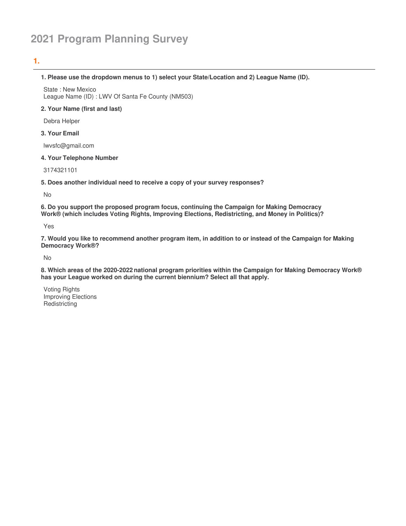# **2021 Program Planning Survey**

# **1.**

#### **1. Please use the dropdown menus to 1) select your State/Location and 2) League Name (ID).**

State : New Mexico League Name (ID) : LWV Of Santa Fe County (NM503)

## **2. Your Name (first and last)**

Debra Helper

#### **3. Your Email**

lwvsfc@gmail.com

#### **4. Your Telephone Number**

3174321101

**5. Does another individual need to receive a copy of your survey responses?**

No

**6. Do you support the proposed program focus, continuing the Campaign for Making Democracy Work® (which includes Voting Rights, Improving Elections, Redistricting, and Money in Politics)?**

Yes

7. Would you like to recommend another program item, in addition to or instead of the Campaign for Making **Democracy Work®?**

No

**8. Which areas of the 2020-2022 national program priorities within the Campaign for Making Democracy Work® has your League worked on during the current biennium? Select all that apply.**

Voting Rights Improving Elections **Redistricting**